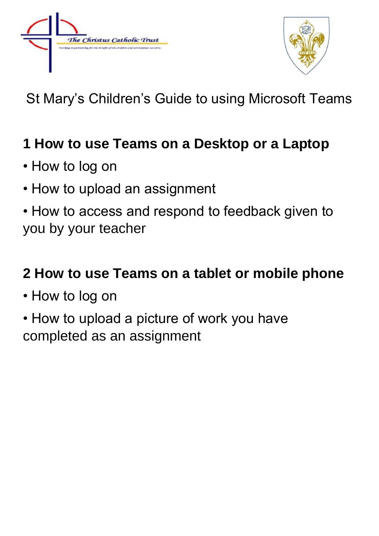



St Mary's Children's Guide to using Microsoft Teams

### **1 How to use Teams on a Desktop or a Laptop**

- How to log on
- How to upload an assignment
- How to access and respond to feedback given to you by your teacher

### **2 How to use Teams on a tablet or mobile phone**

- How to log on
- How to upload a picture of work you have completed as an assignment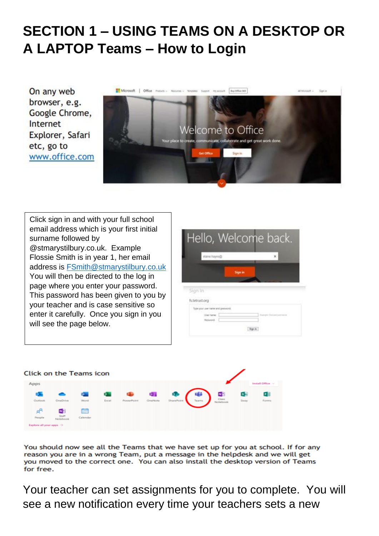## **SECTION 1 – USING TEAMS ON A DESKTOP OR A LAPTOP Teams – How to Login**

On any web browser, e.g. Google Chrome, Internet Explorer, Safari etc, go to www.office.com



Click sign in and with your full school email address which is your first initial surname followed by @stmarystilbury.co.uk. Example Flossie Smith is in year 1, her email address is [FSmith@stmarystilbury.co.uk](mailto:FSmith@stmarystilbury.co.uk) You will then be directed to the log in page where you enter your password. This password has been given to you by your teacher and is case sensitive so enter it carefully. Once you sign in you will see the page below.





You should now see all the Teams that we have set up for you at school. If for any reason you are in a wrong Team, put a message in the helpdesk and we will get you moved to the correct one. You can also install the desktop version of Teams for free.

Your teacher can set assignments for you to complete. You will see a new notification every time your teachers sets a new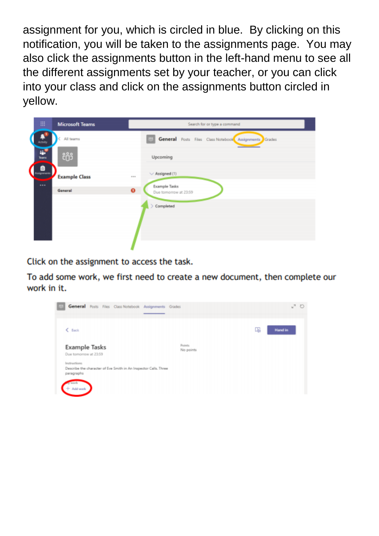assignment for you, which is circled in blue. By clicking on this notification, you will be taken to the assignments page. You may also click the assignments button in the left-hand menu to see all the different assignments set by your teacher, or you can click into your class and click on the assignments button circled in yellow.



Click on the assignment to access the task.

To add some work, we first need to create a new document, then complete our work in it.

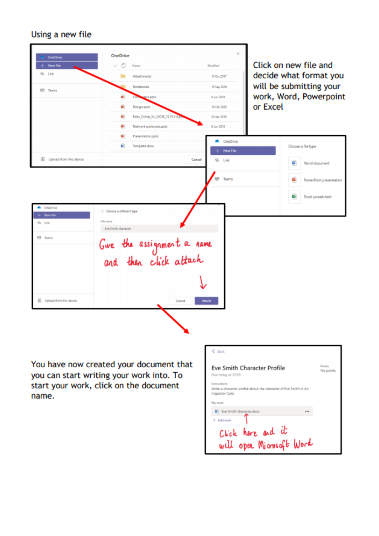#### Using a new file

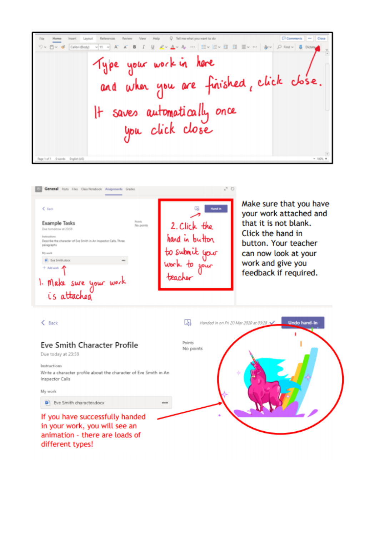Chevrolette and Home Insert Layout v|H v A' A' B I U L v A v A … | H v H v ヨ ヨ H v … | A v | D Find v | 8 Diction ワッ ロッ dr Calibri Body) Type your work in here and when you are finished, click close. It saves automotically once<br>you click close Dwords English (25)

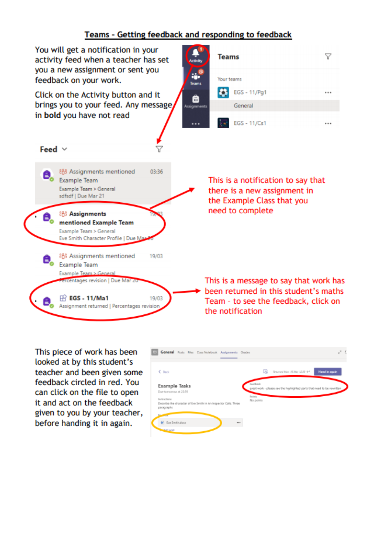#### Teams - Getting feedback and responding to feedback



This piece of work has been looked at by this student's teacher and been given some feedback circled in red. You can click on the file to open it and act on the feedback given to you by your teacher, before handing it in again.

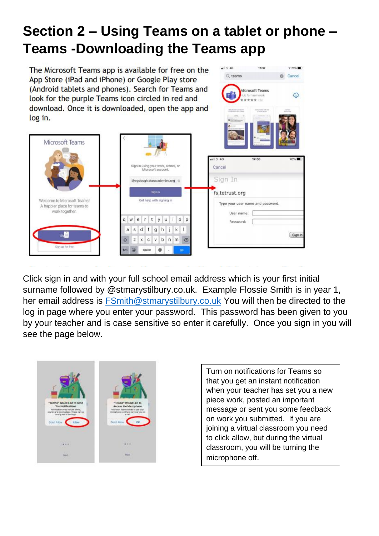# **Section 2 – Using Teams on a tablet or phone – Teams -Downloading the Teams app**

 $-13.46$ 

 $O$  teams

Aicrosoft Teams

 $478\%$ 

⊕

**Cancel** 

The Microsoft Teams app is available for free on the App Store (iPad and iPhone) or Google Play store (Android tablets and phones). Search for Teams and look for the purple Teams icon circled in red and download. Once it is downloaded, open the app and log in.



Click sign in and with your full school email address which is your first initial surname followed by @stmarystilbury.co.uk. Example Flossie Smith is in year 1, her email address is [FSmith@stmarystilbury.co.uk](mailto:FSmith@stmarystilbury.co.uk) You will then be directed to the log in page where you enter your password. This password has been given to you by your teacher and is case sensitive so enter it carefully. Once you sign in you will see the page below.



Turn on notifications for Teams so that you get an instant notification when your teacher has set you a new piece work, posted an important message or sent you some feedback on work you submitted. If you are joining a virtual classroom you need to click allow, but during the virtual classroom, you will be turning the microphone off.